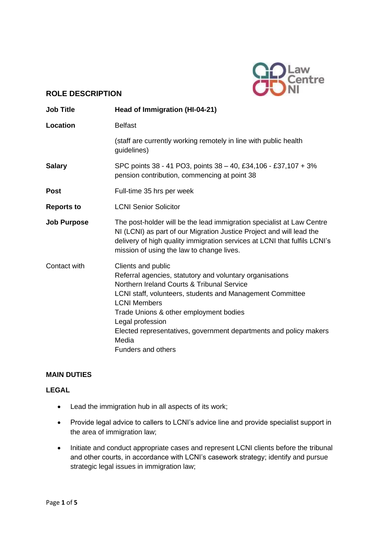

## **ROLE DESCRIPTION**

| <b>Job Title</b>   | Head of Immigration (HI-04-21)                                                                                                                                                                                                                                                                                                                                                            |
|--------------------|-------------------------------------------------------------------------------------------------------------------------------------------------------------------------------------------------------------------------------------------------------------------------------------------------------------------------------------------------------------------------------------------|
| Location           | <b>Belfast</b>                                                                                                                                                                                                                                                                                                                                                                            |
|                    | (staff are currently working remotely in line with public health<br>guidelines)                                                                                                                                                                                                                                                                                                           |
| <b>Salary</b>      | SPC points 38 - 41 PO3, points 38 - 40, £34,106 - £37,107 + 3%<br>pension contribution, commencing at point 38                                                                                                                                                                                                                                                                            |
| <b>Post</b>        | Full-time 35 hrs per week                                                                                                                                                                                                                                                                                                                                                                 |
| <b>Reports to</b>  | <b>LCNI Senior Solicitor</b>                                                                                                                                                                                                                                                                                                                                                              |
| <b>Job Purpose</b> | The post-holder will be the lead immigration specialist at Law Centre<br>NI (LCNI) as part of our Migration Justice Project and will lead the<br>delivery of high quality immigration services at LCNI that fulfils LCNI's<br>mission of using the law to change lives.                                                                                                                   |
| Contact with       | Clients and public<br>Referral agencies, statutory and voluntary organisations<br>Northern Ireland Courts & Tribunal Service<br>LCNI staff, volunteers, students and Management Committee<br><b>LCNI Members</b><br>Trade Unions & other employment bodies<br>Legal profession<br>Elected representatives, government departments and policy makers<br>Media<br><b>Funders and others</b> |

## **MAIN DUTIES**

## **LEGAL**

- Lead the immigration hub in all aspects of its work;
- Provide legal advice to callers to LCNI's advice line and provide specialist support in the area of immigration law;
- Initiate and conduct appropriate cases and represent LCNI clients before the tribunal and other courts, in accordance with LCNI's casework strategy; identify and pursue strategic legal issues in immigration law;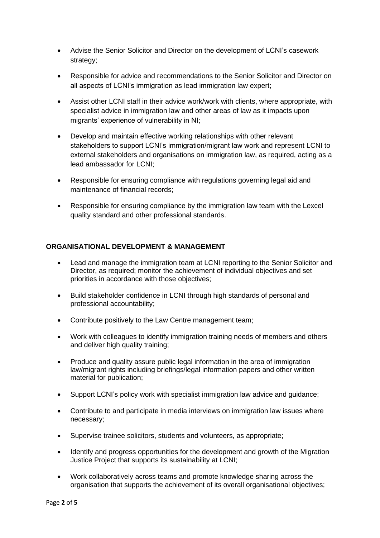- Advise the Senior Solicitor and Director on the development of LCNI's casework strategy;
- Responsible for advice and recommendations to the Senior Solicitor and Director on all aspects of LCNI's immigration as lead immigration law expert;
- Assist other LCNI staff in their advice work/work with clients, where appropriate, with specialist advice in immigration law and other areas of law as it impacts upon migrants' experience of vulnerability in NI;
- Develop and maintain effective working relationships with other relevant stakeholders to support LCNI's immigration/migrant law work and represent LCNI to external stakeholders and organisations on immigration law, as required, acting as a lead ambassador for LCNI;
- Responsible for ensuring compliance with regulations governing legal aid and maintenance of financial records;
- Responsible for ensuring compliance by the immigration law team with the Lexcel quality standard and other professional standards.

### **ORGANISATIONAL DEVELOPMENT & MANAGEMENT**

- Lead and manage the immigration team at LCNI reporting to the Senior Solicitor and Director, as required; monitor the achievement of individual objectives and set priorities in accordance with those objectives;
- Build stakeholder confidence in LCNI through high standards of personal and professional accountability;
- Contribute positively to the Law Centre management team;
- Work with colleagues to identify immigration training needs of members and others and deliver high quality training;
- Produce and quality assure public legal information in the area of immigration law/migrant rights including briefings/legal information papers and other written material for publication;
- Support LCNI's policy work with specialist immigration law advice and guidance;
- Contribute to and participate in media interviews on immigration law issues where necessary;
- Supervise trainee solicitors, students and volunteers, as appropriate;
- Identify and progress opportunities for the development and growth of the Migration Justice Project that supports its sustainability at LCNI;
- Work collaboratively across teams and promote knowledge sharing across the organisation that supports the achievement of its overall organisational objectives;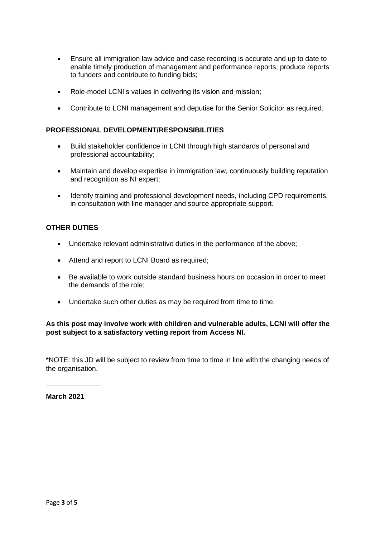- Ensure all immigration law advice and case recording is accurate and up to date to enable timely production of management and performance reports; produce reports to funders and contribute to funding bids;
- Role-model LCNI's values in delivering its vision and mission;
- Contribute to LCNI management and deputise for the Senior Solicitor as required.

#### **PROFESSIONAL DEVELOPMENT/RESPONSIBILITIES**

- Build stakeholder confidence in LCNI through high standards of personal and professional accountability;
- Maintain and develop expertise in immigration law, continuously building reputation and recognition as NI expert;
- Identify training and professional development needs, including CPD requirements, in consultation with line manager and source appropriate support.

#### **OTHER DUTIES**

- Undertake relevant administrative duties in the performance of the above;
- Attend and report to LCNI Board as required;
- Be available to work outside standard business hours on occasion in order to meet the demands of the role;
- Undertake such other duties as may be required from time to time.

#### **As this post may involve work with children and vulnerable adults, LCNI will offer the post subject to a satisfactory vetting report from Access NI.**

\*NOTE: this JD will be subject to review from time to time in line with the changing needs of the organisation.

**March 2021**

\_\_\_\_\_\_\_\_\_\_\_\_\_\_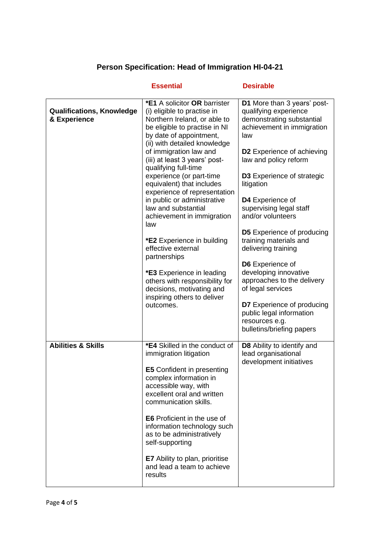# **Person Specification: Head of Immigration HI-04-21**

|                                                  | <b>Essential</b>                                                                                                                                                                                                                                                                                                                                                                                                                                                                                                                                                                                                                                                                         | <b>Desirable</b>                                                                                                                                                                                                                                                                                                                                                                                                                                                                                                                                                                                                  |
|--------------------------------------------------|------------------------------------------------------------------------------------------------------------------------------------------------------------------------------------------------------------------------------------------------------------------------------------------------------------------------------------------------------------------------------------------------------------------------------------------------------------------------------------------------------------------------------------------------------------------------------------------------------------------------------------------------------------------------------------------|-------------------------------------------------------------------------------------------------------------------------------------------------------------------------------------------------------------------------------------------------------------------------------------------------------------------------------------------------------------------------------------------------------------------------------------------------------------------------------------------------------------------------------------------------------------------------------------------------------------------|
| <b>Qualifications, Knowledge</b><br>& Experience | <b>*E1 A solicitor OR barrister</b><br>(i) eligible to practise in<br>Northern Ireland, or able to<br>be eligible to practise in NI<br>by date of appointment,<br>(ii) with detailed knowledge<br>of immigration law and<br>(iii) at least 3 years' post-<br>qualifying full-time<br>experience (or part-time<br>equivalent) that includes<br>experience of representation<br>in public or administrative<br>law and substantial<br>achievement in immigration<br>law<br><b>*E2</b> Experience in building<br>effective external<br>partnerships<br>*E3 Experience in leading<br>others with responsibility for<br>decisions, motivating and<br>inspiring others to deliver<br>outcomes. | D1 More than 3 years' post-<br>qualifying experience<br>demonstrating substantial<br>achievement in immigration<br>law<br><b>D2</b> Experience of achieving<br>law and policy reform<br><b>D3</b> Experience of strategic<br>litigation<br>D4 Experience of<br>supervising legal staff<br>and/or volunteers<br><b>D5</b> Experience of producing<br>training materials and<br>delivering training<br>D6 Experience of<br>developing innovative<br>approaches to the delivery<br>of legal services<br><b>D7</b> Experience of producing<br>public legal information<br>resources e.g.<br>bulletins/briefing papers |
| <b>Abilities &amp; Skills</b>                    | *E4 Skilled in the conduct of<br>immigration litigation<br><b>E5</b> Confident in presenting<br>complex information in<br>accessible way, with<br>excellent oral and written<br>communication skills.<br><b>E6</b> Proficient in the use of<br>information technology such<br>as to be administratively<br>self-supporting<br><b>E7</b> Ability to plan, prioritise<br>and lead a team to achieve<br>results                                                                                                                                                                                                                                                                             | <b>D8</b> Ability to identify and<br>lead organisational<br>development initiatives                                                                                                                                                                                                                                                                                                                                                                                                                                                                                                                               |